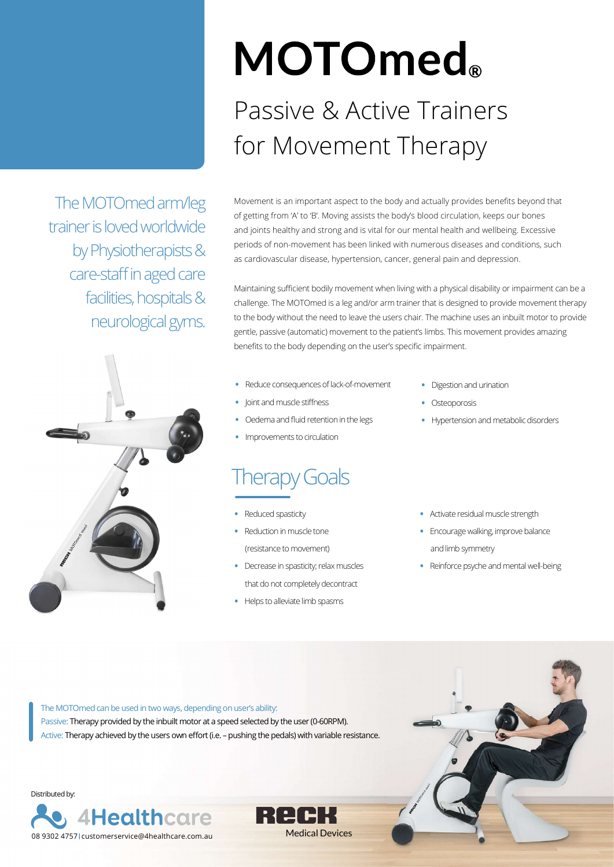The MOTOmed arm/leg trainer is loved worldwide by Physiotherapists & care-staff in aged care facilities, hospitals & neurological gyms.



## **MOTOmed**® Passive & Active Trainers for Movement Therapy

Movement is an important aspect to the body and actually provides benefits beyond that of getting from 'A' to 'B'. Moving assists the body's blood circulation, keeps our bones and joints healthy and strong and is vital for our mental health and wellbeing. Excessive periods of non-movement has been linked with numerous diseases and conditions, such as cardiovascular disease, hypertension, cancer, general pain and depression.

Maintaining sufficient bodily movement when living with a physical disability or impairment can be a challenge. The MOTOmed is a leg and/or arm trainer that is designed to provide movement therapy to the body without the need to leave the users chair. The machine uses an inbuilt motor to provide gentle, passive (automatic) movement to the patient's limbs. This movement provides amazing benefits to the body depending on the user's specific impairment.

- Reduce consequences of lack-of-movement
- Joint and muscle stiffness
- Oedema and fluid retention in the legs
- Improvements to circulation

#### Therapy Goals

- Reduced spasticity
- Reduction in muscle tone (resistance to movement)
- Decrease in spasticity; relax muscles that do not completely decontract

Medical Devices

• Helps to alleviate limb spasms

- Digestion and urination
- **Osteoporosis**
- Hypertension and metabolic disorders
- Activate residual muscle strength
- Encourage walking, improve balance and limb symmetry
- Reinforce psyche and mental well-being

The MOTOmed can be used in two ways, depending on user's ability: Passive: Therapy provided by the inbuilt motor at a speed selected by the user (0-60RPM). Active: Therapy achieved by the users own effort (i.e. - pushing the pedals) with variable resistance.



Distributed by:

08 9302 4757 customerservice@4healthcare.com.au

**4Healthcare**